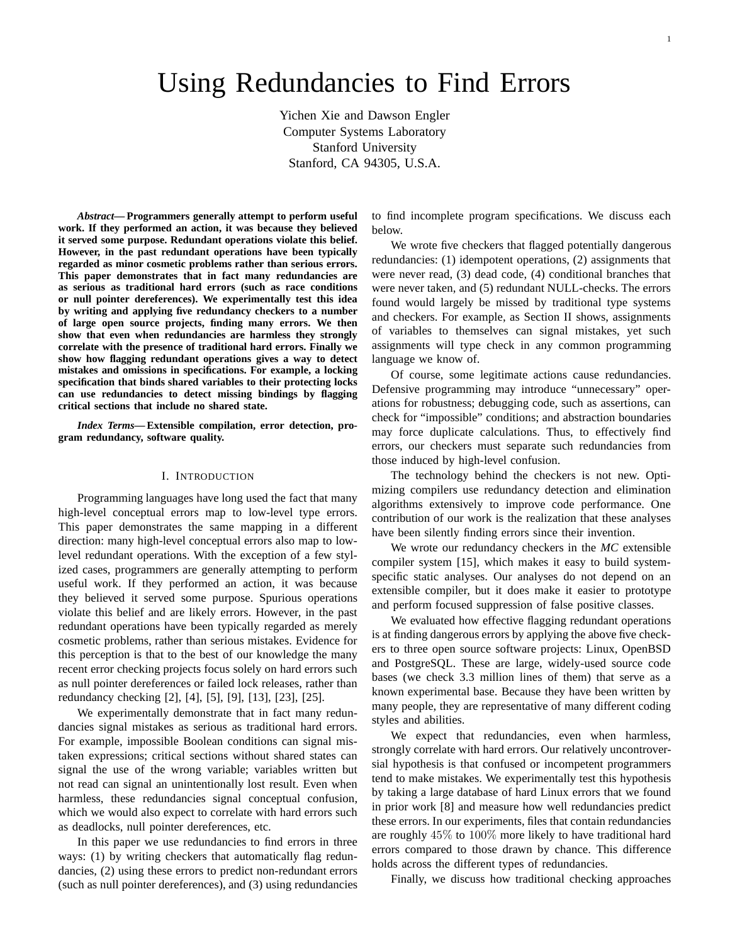# Using Redundancies to Find Errors

Yichen Xie and Dawson Engler Computer Systems Laboratory Stanford University Stanford, CA 94305, U.S.A.

*Abstract***— Programmers generally attempt to perform useful work. If they performed an action, it was because they believed it served some purpose. Redundant operations violate this belief. However, in the past redundant operations have been typically regarded as minor cosmetic problems rather than serious errors. This paper demonstrates that in fact many redundancies are as serious as traditional hard errors (such as race conditions or null pointer dereferences). We experimentally test this idea by writing and applying five redundancy checkers to a number of large open source projects, finding many errors. We then show that even when redundancies are harmless they strongly correlate with the presence of traditional hard errors. Finally we show how flagging redundant operations gives a way to detect mistakes and omissions in specifications. For example, a locking specification that binds shared variables to their protecting locks can use redundancies to detect missing bindings by flagging critical sections that include no shared state.**

*Index Terms***—Extensible compilation, error detection, program redundancy, software quality.**

## I. INTRODUCTION

Programming languages have long used the fact that many high-level conceptual errors map to low-level type errors. This paper demonstrates the same mapping in a different direction: many high-level conceptual errors also map to lowlevel redundant operations. With the exception of a few stylized cases, programmers are generally attempting to perform useful work. If they performed an action, it was because they believed it served some purpose. Spurious operations violate this belief and are likely errors. However, in the past redundant operations have been typically regarded as merely cosmetic problems, rather than serious mistakes. Evidence for this perception is that to the best of our knowledge the many recent error checking projects focus solely on hard errors such as null pointer dereferences or failed lock releases, rather than redundancy checking [2], [4], [5], [9], [13], [23], [25].

We experimentally demonstrate that in fact many redundancies signal mistakes as serious as traditional hard errors. For example, impossible Boolean conditions can signal mistaken expressions; critical sections without shared states can signal the use of the wrong variable; variables written but not read can signal an unintentionally lost result. Even when harmless, these redundancies signal conceptual confusion, which we would also expect to correlate with hard errors such as deadlocks, null pointer dereferences, etc.

In this paper we use redundancies to find errors in three ways: (1) by writing checkers that automatically flag redundancies, (2) using these errors to predict non-redundant errors (such as null pointer dereferences), and (3) using redundancies

to find incomplete program specifications. We discuss each below.

We wrote five checkers that flagged potentially dangerous redundancies: (1) idempotent operations, (2) assignments that were never read, (3) dead code, (4) conditional branches that were never taken, and (5) redundant NULL-checks. The errors found would largely be missed by traditional type systems and checkers. For example, as Section II shows, assignments of variables to themselves can signal mistakes, yet such assignments will type check in any common programming language we know of.

Of course, some legitimate actions cause redundancies. Defensive programming may introduce "unnecessary" operations for robustness; debugging code, such as assertions, can check for "impossible" conditions; and abstraction boundaries may force duplicate calculations. Thus, to effectively find errors, our checkers must separate such redundancies from those induced by high-level confusion.

The technology behind the checkers is not new. Optimizing compilers use redundancy detection and elimination algorithms extensively to improve code performance. One contribution of our work is the realization that these analyses have been silently finding errors since their invention.

We wrote our redundancy checkers in the *MC* extensible compiler system [15], which makes it easy to build systemspecific static analyses. Our analyses do not depend on an extensible compiler, but it does make it easier to prototype and perform focused suppression of false positive classes.

We evaluated how effective flagging redundant operations is at finding dangerous errors by applying the above five checkers to three open source software projects: Linux, OpenBSD and PostgreSQL. These are large, widely-used source code bases (we check 3.3 million lines of them) that serve as a known experimental base. Because they have been written by many people, they are representative of many different coding styles and abilities.

We expect that redundancies, even when harmless, strongly correlate with hard errors. Our relatively uncontroversial hypothesis is that confused or incompetent programmers tend to make mistakes. We experimentally test this hypothesis by taking a large database of hard Linux errors that we found in prior work [8] and measure how well redundancies predict these errors. In our experiments, files that contain redundancies are roughly 45% to 100% more likely to have traditional hard errors compared to those drawn by chance. This difference holds across the different types of redundancies.

Finally, we discuss how traditional checking approaches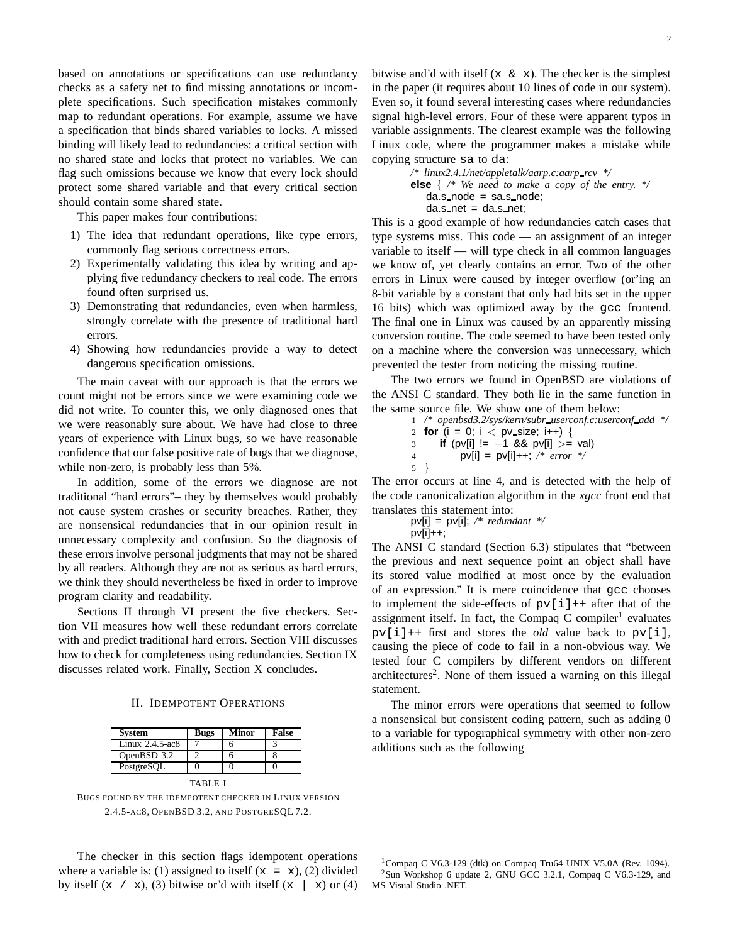based on annotations or specifications can use redundancy checks as a safety net to find missing annotations or incomplete specifications. Such specification mistakes commonly map to redundant operations. For example, assume we have a specification that binds shared variables to locks. A missed binding will likely lead to redundancies: a critical section with no shared state and locks that protect no variables. We can flag such omissions because we know that every lock should protect some shared variable and that every critical section should contain some shared state.

This paper makes four contributions:

- 1) The idea that redundant operations, like type errors, commonly flag serious correctness errors.
- 2) Experimentally validating this idea by writing and applying five redundancy checkers to real code. The errors found often surprised us.
- 3) Demonstrating that redundancies, even when harmless, strongly correlate with the presence of traditional hard errors.
- 4) Showing how redundancies provide a way to detect dangerous specification omissions.

The main caveat with our approach is that the errors we count might not be errors since we were examining code we did not write. To counter this, we only diagnosed ones that we were reasonably sure about. We have had close to three years of experience with Linux bugs, so we have reasonable confidence that our false positive rate of bugs that we diagnose, while non-zero, is probably less than 5%.

In addition, some of the errors we diagnose are not traditional "hard errors"– they by themselves would probably not cause system crashes or security breaches. Rather, they are nonsensical redundancies that in our opinion result in unnecessary complexity and confusion. So the diagnosis of these errors involve personal judgments that may not be shared by all readers. Although they are not as serious as hard errors, we think they should nevertheless be fixed in order to improve program clarity and readability.

Sections II through VI present the five checkers. Section VII measures how well these redundant errors correlate with and predict traditional hard errors. Section VIII discusses how to check for completeness using redundancies. Section IX discusses related work. Finally, Section X concludes.

### II. IDEMPOTENT OPERATIONS

| <b>System</b>         | <b>Bugs</b> | Minor | <b>False</b> |  |  |
|-----------------------|-------------|-------|--------------|--|--|
| Linux $2.4.5$ -ac $8$ |             |       |              |  |  |
| OpenBSD 3.2           |             |       |              |  |  |
| PostgreSQL            |             |       |              |  |  |
| TABLE.                |             |       |              |  |  |

BUGS FOUND BY THE IDEMPOTENT CHECKER IN LINUX VERSION 2.4.5-AC8, OPENBSD 3.2, AND POSTGRESQL 7.2.

The checker in this section flags idempotent operations where a variable is: (1) assigned to itself  $(x = x)$ , (2) divided by itself  $(x / x)$ , (3) bitwise or'd with itself  $(x | x)$  or (4) bitwise and'd with itself  $(x \& x)$ . The checker is the simplest in the paper (it requires about 10 lines of code in our system). Even so, it found several interesting cases where redundancies signal high-level errors. Four of these were apparent typos in variable assignments. The clearest example was the following Linux code, where the programmer makes a mistake while copying structure sa to da:

> */\* linux2.4.1/net/appletalk/aarp.c:aarp rcv \*/* **else** { */\* We need to make a copy of the entry. \*/*  $da.s$  node = sa.s node;  $da.s.net = da.s.net;$

This is a good example of how redundancies catch cases that type systems miss. This code — an assignment of an integer variable to itself — will type check in all common languages we know of, yet clearly contains an error. Two of the other errors in Linux were caused by integer overflow (or'ing an 8-bit variable by a constant that only had bits set in the upper 16 bits) which was optimized away by the gcc frontend. The final one in Linux was caused by an apparently missing conversion routine. The code seemed to have been tested only on a machine where the conversion was unnecessary, which prevented the tester from noticing the missing routine.

The two errors we found in OpenBSD are violations of the ANSI C standard. They both lie in the same function in the same source file. We show one of them below:

```
1 /* openbsd3.2/sys/kern/subr userconf.c:userconf add */
2 for (i = 0; i < pv size; i++) {
3 if (pv[i] != −1 && pv[i] >= val)
4 pv[i] = pv[i]++; /* error */
5 }
```
The error occurs at line 4, and is detected with the help of the code canonicalization algorithm in the *xgcc* front end that translates this statement into:

pv[i] = pv[i]; */\* redundant \*/* pv[i]++;

The ANSI C standard (Section 6.3) stipulates that "between the previous and next sequence point an object shall have its stored value modified at most once by the evaluation of an expression." It is mere coincidence that gcc chooses to implement the side-effects of  $pv[i]+$  after that of the assignment itself. In fact, the Compaq C compiler<sup>1</sup> evaluates pv[i]++ first and stores the *old* value back to pv[i], causing the piece of code to fail in a non-obvious way. We tested four C compilers by different vendors on different architectures<sup>2</sup>. None of them issued a warning on this illegal statement.

The minor errors were operations that seemed to follow a nonsensical but consistent coding pattern, such as adding 0 to a variable for typographical symmetry with other non-zero additions such as the following

<sup>1</sup>Compaq C V6.3-129 (dtk) on Compaq Tru64 UNIX V5.0A (Rev. 1094). <sup>2</sup>Sun Workshop 6 update 2, GNU GCC 3.2.1, Compaq C V6.3-129, and MS Visual Studio .NET.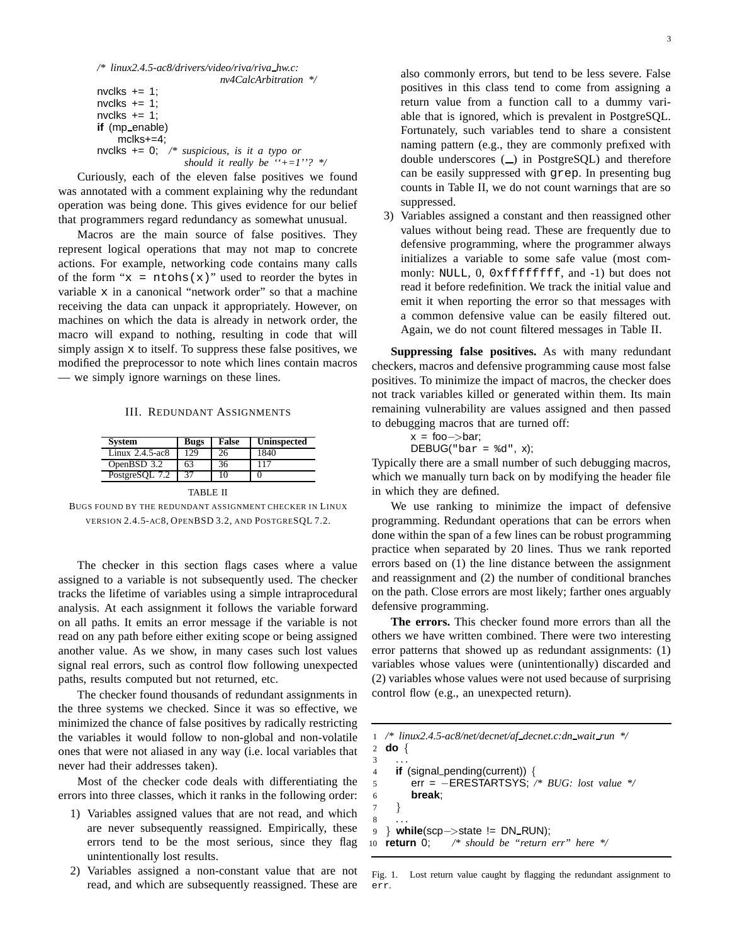```
/* linux2.4.5-ac8/drivers/video/riva/riva hw.c:
                          nv4CalcArbitration */
nvclks += 1;
nvclks += 1;
nvclks += 1;
if (mp enable)
    mclks+=4;
nvclks += 0; /* suspicious, is it a typo or
                  should it really be ''+=1''? */
```
Curiously, each of the eleven false positives we found was annotated with a comment explaining why the redundant operation was being done. This gives evidence for our belief that programmers regard redundancy as somewhat unusual.

Macros are the main source of false positives. They represent logical operations that may not map to concrete actions. For example, networking code contains many calls of the form " $x =$ ntohs(x)" used to reorder the bytes in variable x in a canonical "network order" so that a machine receiving the data can unpack it appropriately. However, on machines on which the data is already in network order, the macro will expand to nothing, resulting in code that will simply assign  $x$  to itself. To suppress these false positives, we modified the preprocessor to note which lines contain macros — we simply ignore warnings on these lines.

## III. REDUNDANT ASSIGNMENTS

| <b>System</b>         | <b>Bugs</b> | <b>False</b> | <b>Uninspected</b> |  |  |
|-----------------------|-------------|--------------|--------------------|--|--|
| Linux $2.4.5$ -ac $8$ | 129         | 26           | 1840               |  |  |
| OpenBSD 3.2           | 63          | 36           |                    |  |  |
| PostgreSQL 7.2        | 37          | 10           |                    |  |  |
| TARLE II              |             |              |                    |  |  |

BUGS FOUND BY THE REDUNDANT ASSIGNMENT CHECKER IN LINUX VERSION 2.4.5-AC8, OPENBSD 3.2, AND POSTGRESQL 7.2.

The checker in this section flags cases where a value assigned to a variable is not subsequently used. The checker tracks the lifetime of variables using a simple intraprocedural analysis. At each assignment it follows the variable forward on all paths. It emits an error message if the variable is not read on any path before either exiting scope or being assigned another value. As we show, in many cases such lost values signal real errors, such as control flow following unexpected paths, results computed but not returned, etc.

The checker found thousands of redundant assignments in the three systems we checked. Since it was so effective, we minimized the chance of false positives by radically restricting the variables it would follow to non-global and non-volatile ones that were not aliased in any way (i.e. local variables that never had their addresses taken).

Most of the checker code deals with differentiating the errors into three classes, which it ranks in the following order:

- 1) Variables assigned values that are not read, and which are never subsequently reassigned. Empirically, these errors tend to be the most serious, since they flag unintentionally lost results.
- 2) Variables assigned a non-constant value that are not read, and which are subsequently reassigned. These are

also commonly errors, but tend to be less severe. False positives in this class tend to come from assigning a return value from a function call to a dummy variable that is ignored, which is prevalent in PostgreSQL. Fortunately, such variables tend to share a consistent naming pattern (e.g., they are commonly prefixed with double underscores  $($ ) in PostgreSQL) and therefore can be easily suppressed with grep. In presenting bug counts in Table II, we do not count warnings that are so suppressed.

3) Variables assigned a constant and then reassigned other values without being read. These are frequently due to defensive programming, where the programmer always initializes a variable to some safe value (most commonly: NULL, 0, 0xffffffff, and -1) but does not read it before redefinition. We track the initial value and emit it when reporting the error so that messages with a common defensive value can be easily filtered out. Again, we do not count filtered messages in Table II.

**Suppressing false positives.** As with many redundant checkers, macros and defensive programming cause most false positives. To minimize the impact of macros, the checker does not track variables killed or generated within them. Its main remaining vulnerability are values assigned and then passed to debugging macros that are turned off:

 $x = foo \rightarrow bar$ ;

DEBUG("bar =  $d$ ", x);

Typically there are a small number of such debugging macros, which we manually turn back on by modifying the header file in which they are defined.

We use ranking to minimize the impact of defensive programming. Redundant operations that can be errors when done within the span of a few lines can be robust programming practice when separated by 20 lines. Thus we rank reported errors based on (1) the line distance between the assignment and reassignment and (2) the number of conditional branches on the path. Close errors are most likely; farther ones arguably defensive programming.

**The errors.** This checker found more errors than all the others we have written combined. There were two interesting error patterns that showed up as redundant assignments: (1) variables whose values were (unintentionally) discarded and (2) variables whose values were not used because of surprising control flow (e.g., an unexpected return).

1 */\* linux2.4.5-ac8/net/decnet/af decnet.c:dn wait run \*/* 2 **do** {  $3 \ldots$ 4 **if** (signal pending(current)) { 5 err = −ERESTARTSYS; */\* BUG: lost value \*/* 6 **break**; 7 } 8 . . . 9 } **while**(scp->state != DN\_RUN); 10 **return** 0; */\* should be "return err" here \*/*

Fig. 1. Lost return value caught by flagging the redundant assignment to err.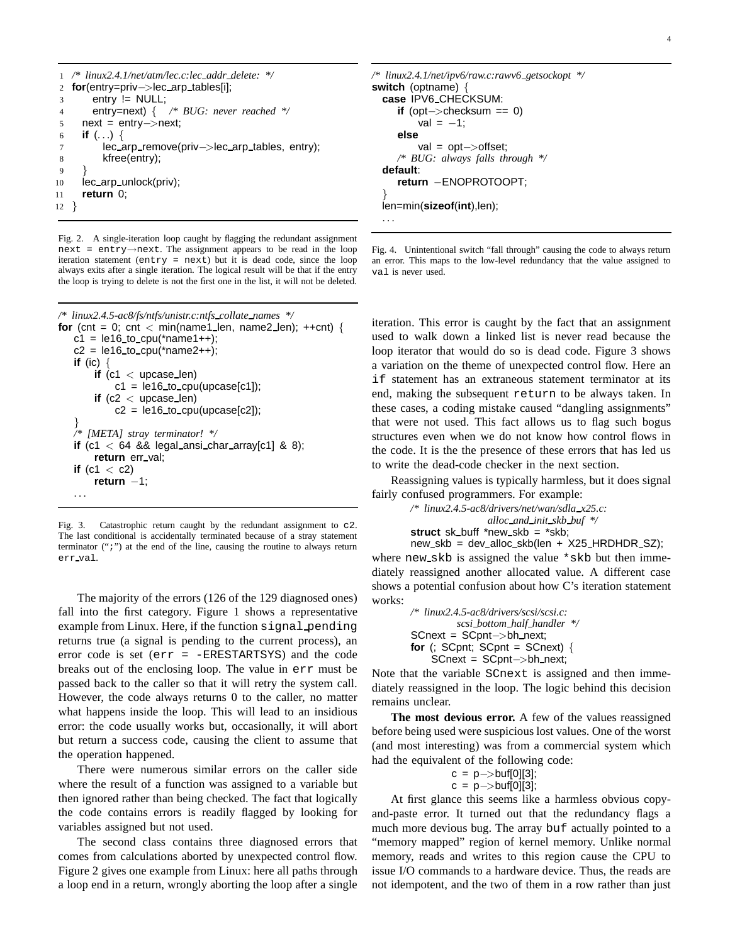*/\* linux2.4.1/net/atm/lec.c:lec addr delete: \*/* **for**(entry=priv−>lec arp tables[i]; entry  $!=$  NULL; entry=next) { */\* BUG: never reached \*/* next = entry−>next; **if**  $(...)$  { lec arp remove(priv−>lec arp tables, entry); kfree(entry); 9 } **lec\_arp\_unlock(priv)**; **return** 0; 12 }

Fig. 2. A single-iteration loop caught by flagging the redundant assignment next = entry→next. The assignment appears to be read in the loop iteration statement (entry = next) but it is dead code, since the loop always exits after a single iteration. The logical result will be that if the entry the loop is trying to delete is not the first one in the list, it will not be deleted.

```
/* linux2.4.5-ac8/fs/ntfs/unistr.c:ntfs collate names */
for (cnt = 0; cnt < min(name1_len, name2_len); ++cnt) {
   c1 = le16_to_cpu("name1++);
   c2 = le16_to_cpu("name2++);if (ic) {
       if (c1 < upcase len)
           c1 = le16_to_cpu(upcase[c1]);if (c2 < upcase len)
           c2 = le16_to_cpu(upcase[cz]);}
   /* [META] stray terminator! */
   if (c1 < 64 && legal_ansi_char_array[c1] & 8);
       return err_val;
   if (c1 < c2)
       return −1;
   . . .
```
Fig. 3. Catastrophic return caught by the redundant assignment to c2. The last conditional is accidentally terminated because of a stray statement terminator (";") at the end of the line, causing the routine to always return err val.

The majority of the errors (126 of the 129 diagnosed ones) fall into the first category. Figure 1 shows a representative example from Linux. Here, if the function signal pending returns true (a signal is pending to the current process), an error code is set (err = -ERESTARTSYS) and the code breaks out of the enclosing loop. The value in err must be passed back to the caller so that it will retry the system call. However, the code always returns 0 to the caller, no matter what happens inside the loop. This will lead to an insidious error: the code usually works but, occasionally, it will abort but return a success code, causing the client to assume that the operation happened.

There were numerous similar errors on the caller side where the result of a function was assigned to a variable but then ignored rather than being checked. The fact that logically the code contains errors is readily flagged by looking for variables assigned but not used.

The second class contains three diagnosed errors that comes from calculations aborted by unexpected control flow. Figure 2 gives one example from Linux: here all paths through a loop end in a return, wrongly aborting the loop after a single

```
/* linux2.4.1/net/ipv6/raw.c:rawv6 getsockopt */
switch (optname) \cdotcase IPV6 CHECKSUM:
    if (opt−>checksum == 0)
         val = -1;
     else
         val = opt−>offset;
     /* BUG: always falls through */
  default:
     return −ENOPROTOOPT;
  }
  len=min(sizeof(int),len);
  . . .
```
Fig. 4. Unintentional switch "fall through" causing the code to always return an error. This maps to the low-level redundancy that the value assigned to val is never used.

iteration. This error is caught by the fact that an assignment used to walk down a linked list is never read because the loop iterator that would do so is dead code. Figure 3 shows a variation on the theme of unexpected control flow. Here an if statement has an extraneous statement terminator at its end, making the subsequent return to be always taken. In these cases, a coding mistake caused "dangling assignments" that were not used. This fact allows us to flag such bogus structures even when we do not know how control flows in the code. It is the the presence of these errors that has led us to write the dead-code checker in the next section.

Reassigning values is typically harmless, but it does signal fairly confused programmers. For example:

```
/* linux2.4.5-ac8/drivers/net/wan/sdla x25.c:
                alloc and init skb buf */
struct sk_buff *new_skb = *skb;
new_skb = dev_alloc_skb(len + X25_HRDHDR_SZ);
```
where new skb is assigned the value \*skb but then immediately reassigned another allocated value. A different case shows a potential confusion about how C's iteration statement works:

> */\* linux2.4.5-ac8/drivers/scsi/scsi.c: scsi bottom half handler \*/* SCnext = SCpnt−>bh next; **for** (; SCpnt; SCpnt = SCnext) { SCnext = SCpnt−>bh next;

Note that the variable SCnext is assigned and then immediately reassigned in the loop. The logic behind this decision remains unclear.

**The most devious error.** A few of the values reassigned before being used were suspicious lost values. One of the worst (and most interesting) was from a commercial system which had the equivalent of the following code:

$$
c = p \rightarrow \text{buf}[0][3];
$$
  

$$
c = p \rightarrow \text{buf}[0][3];
$$

At first glance this seems like a harmless obvious copyand-paste error. It turned out that the redundancy flags a much more devious bug. The array buf actually pointed to a "memory mapped" region of kernel memory. Unlike normal memory, reads and writes to this region cause the CPU to issue I/O commands to a hardware device. Thus, the reads are not idempotent, and the two of them in a row rather than just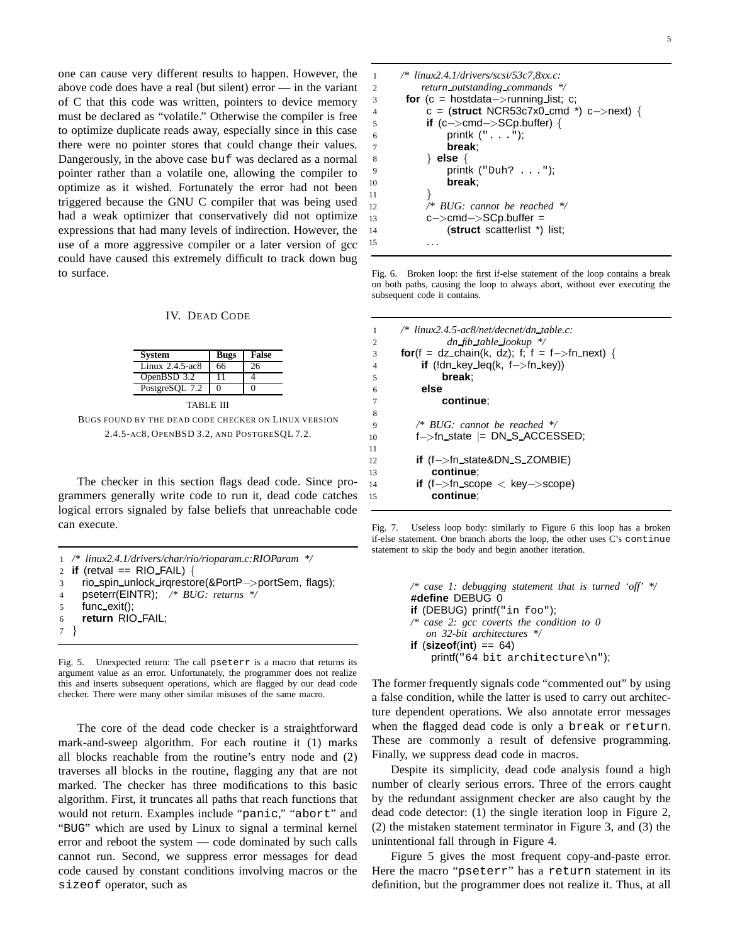one can cause very different results to happen. However, the above code does have a real (but silent) error — in the variant of C that this code was written, pointers to device memory must be declared as "volatile." Otherwise the compiler is free to optimize duplicate reads away, especially since in this case there were no pointer stores that could change their values. Dangerously, in the above case buf was declared as a normal pointer rather than a volatile one, allowing the compiler to optimize as it wished. Fortunately the error had not been triggered because the GNU C compiler that was being used had a weak optimizer that conservatively did not optimize expressions that had many levels of indirection. However, the use of a more aggressive compiler or a later version of gcc could have caused this extremely difficult to track down bug to surface.

## IV. DEAD CODE

| <b>Bugs</b> | False |
|-------------|-------|
| 66          | 26    |
|             |       |
|             |       |
|             |       |

TABLE III BUGS FOUND BY THE DEAD CODE CHECKER ON LINUX VERSION 2.4.5-AC8, OPENBSD 3.2, AND POSTGRESQL 7.2.

The checker in this section flags dead code. Since programmers generally write code to run it, dead code catches logical errors signaled by false beliefs that unreachable code can execute.

```
1 /* linux2.4.1/drivers/char/rio/rioparam.c:RIOParam */
2 if (retval == RIO FAIL) {
3 rio spin unlock irqrestore(&PortP−>portSem, flags);
4 pseterr(EINTR); /* BUG: returns */
5 func exit();
6 return RIO FAIL;
7 }
```
Fig. 5. Unexpected return: The call pseterr is a macro that returns its argument value as an error. Unfortunately, the programmer does not realize this and inserts subsequent operations, which are flagged by our dead code checker. There were many other similar misuses of the same macro.

The core of the dead code checker is a straightforward mark-and-sweep algorithm. For each routine it (1) marks all blocks reachable from the routine's entry node and (2) traverses all blocks in the routine, flagging any that are not marked. The checker has three modifications to this basic algorithm. First, it truncates all paths that reach functions that would not return. Examples include "panic," "abort" and "BUG" which are used by Linux to signal a terminal kernel error and reboot the system — code dominated by such calls cannot run. Second, we suppress error messages for dead code caused by constant conditions involving macros or the sizeof operator, such as

```
1 /* linux2.4.1/drivers/scsi/53c7,8xx.c:
2 return outstanding commands */
3 for (c = hostdata−>running list; c;
4 c = (struct NCR53c7x0 cmd *) c−>next) {
5 if (c−>cmd−>SCp.buffer) {
6 printk (". . .");
7 break;
8 else b
9 printk ("Duh? . . .");
10 break;
11   }
12 /* BUG: cannot be reached */
13 c−>cmd−>SCp.buffer =
14 (struct scatterlist *) list;
15 . . .
```
Fig. 6. Broken loop: the first if-else statement of the loop contains a break on both paths, causing the loop to always abort, without ever executing the subsequent code it contains.

|                | $\frac{1}{2}$ linux2.4.5-ac8/net/decnet/dn_table.c:   |
|----------------|-------------------------------------------------------|
| $\overline{2}$ | $dn_{\text{th}}$ table lookup $\frac{1}{2}$           |
| 3              | for(f = dz_chain(k, dz); f; f = f->fn_next) {         |
| $\overline{4}$ | if $($ !dn_key_leq $(k, f$ ->fn_key $))$              |
| 5              | break:                                                |
| 6              | else                                                  |
| 7              | continue:                                             |
| 8              |                                                       |
| 9              | $/*$ BUG; cannot be reached $*/$                      |
| 10             | $f \rightarrow f n_{\text{state}}$ = DN_S_ACCESSED;   |
| 11             |                                                       |
| 12             | if $(f\rightarrow fin\_state&DN_S_ZOMBE)$             |
| 13             | continue:                                             |
| 14             | if $(f\rightarrow fn\_scope < key \rightarrow scope)$ |
| 15             | continue:                                             |

11

Fig. 7. Useless loop body: similarly to Figure 6 this loop has a broken if-else statement. One branch aborts the loop, the other uses C's continue statement to skip the body and begin another iteration.

```
/* case 1: debugging statement that is turned 'off' */
#define DEBUG 0
if (DEBUG) printf("in foo");
/* case 2: gcc coverts the condition to 0
   on 32-bit architectures */
if (sizeof(int) == 64)
    printf("64 bit architecture\n");
```
The former frequently signals code "commented out" by using a false condition, while the latter is used to carry out architecture dependent operations. We also annotate error messages when the flagged dead code is only a break or return. These are commonly a result of defensive programming. Finally, we suppress dead code in macros.

Despite its simplicity, dead code analysis found a high number of clearly serious errors. Three of the errors caught by the redundant assignment checker are also caught by the dead code detector: (1) the single iteration loop in Figure 2, (2) the mistaken statement terminator in Figure 3, and (3) the unintentional fall through in Figure 4.

Figure 5 gives the most frequent copy-and-paste error. Here the macro "pseterr" has a return statement in its definition, but the programmer does not realize it. Thus, at all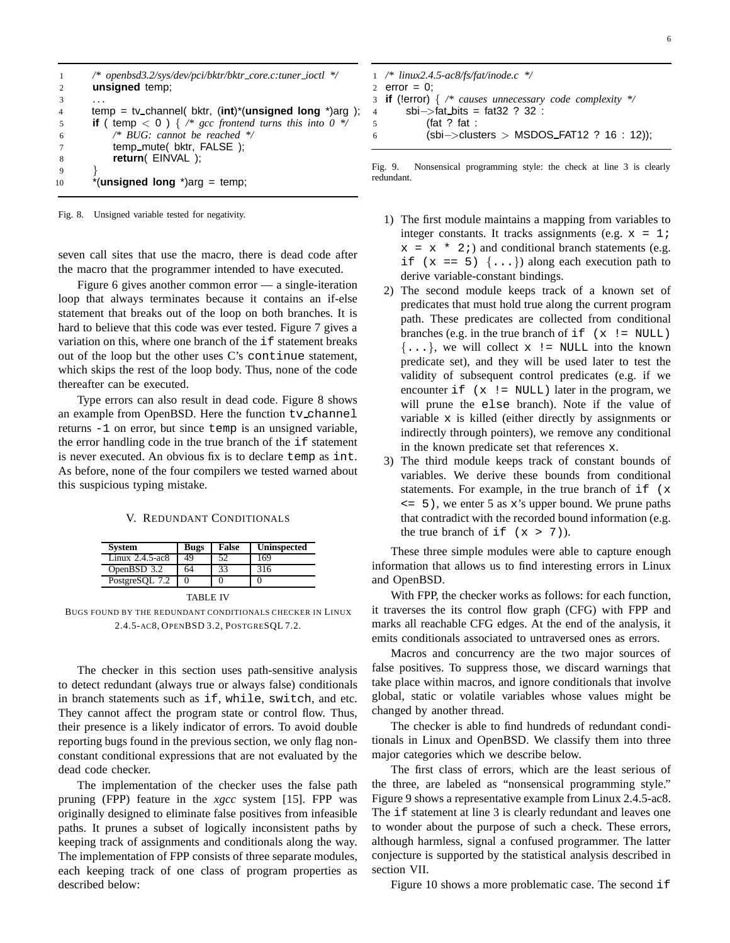```
1 /* openbsd3.2/sys/dev/pci/bktr/bktr core.c:tuner ioctl */
2 unsigned temp;
3 . . .
4 temp = tv channel( bktr, (int)*(unsigned long *)arg );
5 if ( temp < 0 ) { /* gcc frontend turns this into 0 */6 /* BUG: cannot be reached */
7 temp_mute( bktr, FALSE );
8 return( EINVAL );
9 }
10 *(unsigned long *)arg = temp;
```
Fig. 8. Unsigned variable tested for negativity.

seven call sites that use the macro, there is dead code after the macro that the programmer intended to have executed.

Figure 6 gives another common error — a single-iteration loop that always terminates because it contains an if-else statement that breaks out of the loop on both branches. It is hard to believe that this code was ever tested. Figure 7 gives a variation on this, where one branch of the if statement breaks out of the loop but the other uses C's continue statement, which skips the rest of the loop body. Thus, none of the code thereafter can be executed.

Type errors can also result in dead code. Figure 8 shows an example from OpenBSD. Here the function tv channel returns -1 on error, but since temp is an unsigned variable, the error handling code in the true branch of the if statement is never executed. An obvious fix is to declare temp as int. As before, none of the four compilers we tested warned about this suspicious typing mistake.

## V. REDUNDANT CONDITIONALS

| <b>System</b>         | <b>Bugs</b> | <b>False</b> | <b>Uninspected</b> |
|-----------------------|-------------|--------------|--------------------|
| Linux $2.4.5$ -ac $8$ | 49          | 52           | 169                |
| OpenBSD 3.2           | 64          | 33           | 316                |
| PostgreSQL 7.2        |             |              |                    |

#### TABLE IV

BUGS FOUND BY THE REDUNDANT CONDITIONALS CHECKER IN LINUX 2.4.5-AC8, OPENBSD 3.2, POSTGRESQL 7.2.

The checker in this section uses path-sensitive analysis to detect redundant (always true or always false) conditionals in branch statements such as if, while, switch, and etc. They cannot affect the program state or control flow. Thus, their presence is a likely indicator of errors. To avoid double reporting bugs found in the previous section, we only flag nonconstant conditional expressions that are not evaluated by the dead code checker.

The implementation of the checker uses the false path pruning (FPP) feature in the *xgcc* system [15]. FPP was originally designed to eliminate false positives from infeasible paths. It prunes a subset of logically inconsistent paths by keeping track of assignments and conditionals along the way. The implementation of FPP consists of three separate modules, each keeping track of one class of program properties as described below:

```
1 /* linux2.4.5-ac8/fs/fat/inode.c */
2 error = 0:
3 if (!error) { /* causes unnecessary code complexity */
4 sbi−>fat bits = fat32 ? 32 :
5 (fat ? fat :
6 (sbi−>clusters > MSDOS FAT12 ? 16 : 12));
```
Fig. 9. Nonsensical programming style: the check at line 3 is clearly redundant.

- 1) The first module maintains a mapping from variables to integer constants. It tracks assignments (e.g.  $x = 1$ ;  $x = x * 2i$  and conditional branch statements (e.g. if  $(x == 5) \{... \}$  along each execution path to derive variable-constant bindings.
- 2) The second module keeps track of a known set of predicates that must hold true along the current program path. These predicates are collected from conditional branches (e.g. in the true branch of  $if (x != NULL)$ )  $\{\ldots\}$ , we will collect  $x$  ! = NULL into the known predicate set), and they will be used later to test the validity of subsequent control predicates (e.g. if we encounter if  $(x := NULL)$  later in the program, we will prune the else branch). Note if the value of variable x is killed (either directly by assignments or indirectly through pointers), we remove any conditional in the known predicate set that references x.
- 3) The third module keeps track of constant bounds of variables. We derive these bounds from conditional statements. For example, in the true branch of  $if(x)$  $\leq$  = 5), we enter 5 as x's upper bound. We prune paths that contradict with the recorded bound information (e.g. the true branch of if  $(x > 7)$ ).

These three simple modules were able to capture enough information that allows us to find interesting errors in Linux and OpenBSD.

With FPP, the checker works as follows: for each function, it traverses the its control flow graph (CFG) with FPP and marks all reachable CFG edges. At the end of the analysis, it emits conditionals associated to untraversed ones as errors.

Macros and concurrency are the two major sources of false positives. To suppress those, we discard warnings that take place within macros, and ignore conditionals that involve global, static or volatile variables whose values might be changed by another thread.

The checker is able to find hundreds of redundant conditionals in Linux and OpenBSD. We classify them into three major categories which we describe below.

The first class of errors, which are the least serious of the three, are labeled as "nonsensical programming style." Figure 9 shows a representative example from Linux 2.4.5-ac8. The if statement at line 3 is clearly redundant and leaves one to wonder about the purpose of such a check. These errors, although harmless, signal a confused programmer. The latter conjecture is supported by the statistical analysis described in section VII.

Figure 10 shows a more problematic case. The second if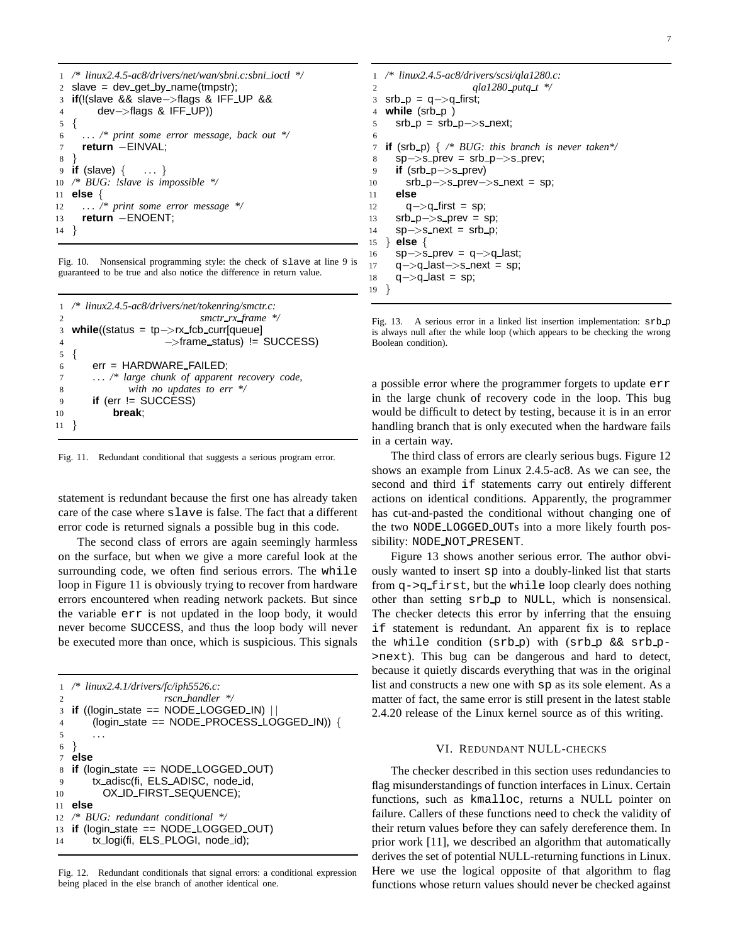```
1 /* linux2.4.5-ac8/drivers/net/wan/sbni.c:sbni ioctl */
2 slave = dev_get_by_name(tmpstr);
3 if(!(slave && slave−>flags & IFF UP &&
4 dev−>flags & IFF UP))
5 {
6 . . . /* print some error message, back out */
7 return −EINVAL;
\,9 if (slave) { . . . }
10 /* BUG: !slave is impossible */
11 else {
12 . . . /* print some error message */
13 return −ENOENT;
14 }
```
Fig. 10. Nonsensical programming style: the check of slave at line 9 is guaranteed to be true and also notice the difference in return value.

```
1 /* linux2.4.5-ac8/drivers/net/tokenring/smctr.c:
2 smctr rx frame */
3 while((status = tp−>rx fcb curr[queue]
4 −>frame status) != SUCCESS)
5 {
6 \qquad err = HARDWARE_FAILED;
7 . . . /* large chunk of apparent recovery code,
8 with no updates to err */
9 if (err != SUCCESS)
10 break;
11 }
```
Fig. 11. Redundant conditional that suggests a serious program error.

statement is redundant because the first one has already taken care of the case where slave is false. The fact that a different error code is returned signals a possible bug in this code.

The second class of errors are again seemingly harmless on the surface, but when we give a more careful look at the surrounding code, we often find serious errors. The while loop in Figure 11 is obviously trying to recover from hardware errors encountered when reading network packets. But since the variable err is not updated in the loop body, it would never become SUCCESS, and thus the loop body will never be executed more than once, which is suspicious. This signals

 */\* linux2.4.1/drivers/fc/iph5526.c: rscn handler \*/* **if** ((login state == NODE LOGGED IN) | | (login state == NODE PROCESS LOGGED IN)) { 5 . . .  $\begin{array}{c} 6 \\ 7 \end{array}$ 7 **else if** (login state == NODE LOGGED OUT) tx adisc(fi, ELS ADISC, node id, OX ID FIRST SEQUENCE); 11 **else** */\* BUG: redundant conditional \*/* **if** (login state == NODE LOGGED OUT) tx logi(fi, ELS PLOGI, node id);

Fig. 12. Redundant conditionals that signal errors: a conditional expression being placed in the else branch of another identical one.

```
1 /* linux2.4.5-ac8/drivers/scsi/qla1280.c:
2 qla1280 putq t */
3 srb_p = q->q_first;
4 while (srb_p )
5 srb_p = srb_p->s_next;
6
7 if (srb p) { /* BUG: this branch is never taken*/
\text{sp} \rightarrow \text{s} prev = srb p−>s prev;
9 if (srb_p−>s_prev)
10 srb p−>s prev−>s next = sp;
11 else
12 q–\geqq first = sp;
13 srb p \rightarrow s prev = sp;
14 sp ->s_next = srb_p;
15 } else {
16 sp ->s_prev = q ->q_last;
17 \qquad q \rightarrow q last ->s next = sp;
18 \qquad q \rightarrow q last = sp;
19 }
```

```
Fig. 13. A serious error in a linked list insertion implementation: srb p
is always null after the while loop (which appears to be checking the wrong
Boolean condition).
```
a possible error where the programmer forgets to update err in the large chunk of recovery code in the loop. This bug would be difficult to detect by testing, because it is in an error handling branch that is only executed when the hardware fails in a certain way.

The third class of errors are clearly serious bugs. Figure 12 shows an example from Linux 2.4.5-ac8. As we can see, the second and third if statements carry out entirely different actions on identical conditions. Apparently, the programmer has cut-and-pasted the conditional without changing one of the two NODE LOGGED OUTs into a more likely fourth possibility: NODE NOT PRESENT.

Figure 13 shows another serious error. The author obviously wanted to insert sp into a doubly-linked list that starts from q->q first, but the while loop clearly does nothing other than setting srb p to NULL, which is nonsensical. The checker detects this error by inferring that the ensuing if statement is redundant. An apparent fix is to replace the while condition (srb p) with (srb p && srb p- >next). This bug can be dangerous and hard to detect, because it quietly discards everything that was in the original list and constructs a new one with sp as its sole element. As a matter of fact, the same error is still present in the latest stable 2.4.20 release of the Linux kernel source as of this writing.

## VI. REDUNDANT NULL-CHECKS

The checker described in this section uses redundancies to flag misunderstandings of function interfaces in Linux. Certain functions, such as kmalloc, returns a NULL pointer on failure. Callers of these functions need to check the validity of their return values before they can safely dereference them. In prior work [11], we described an algorithm that automatically derives the set of potential NULL-returning functions in Linux. Here we use the logical opposite of that algorithm to flag functions whose return values should never be checked against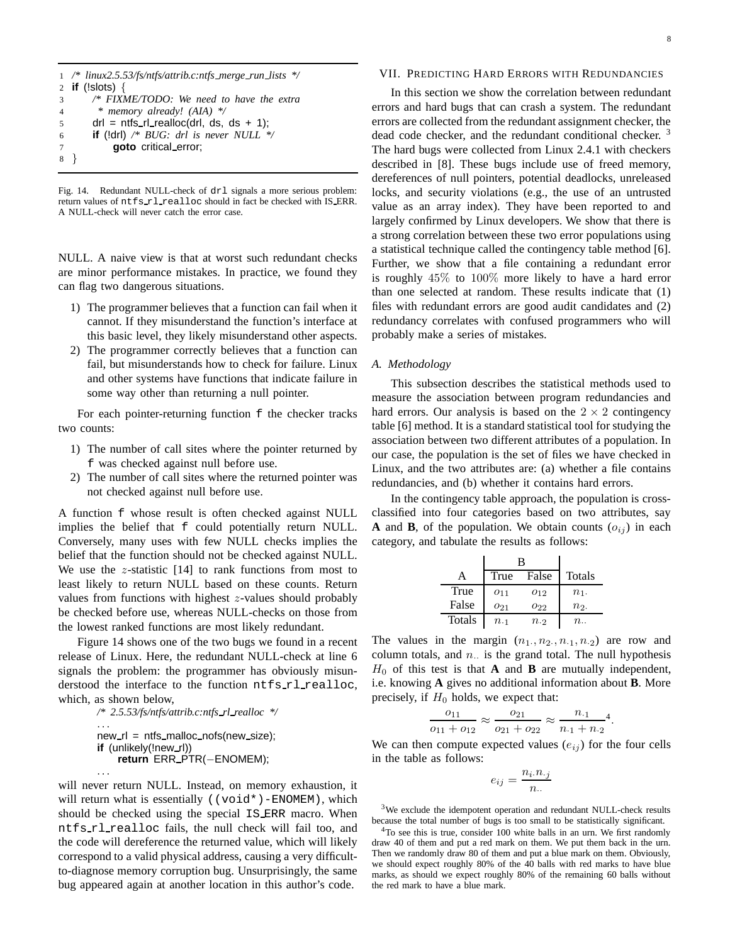```
1 /* linux2.5.53/fs/ntfs/attrib.c:ntfs merge run lists */
2 if (!slots) {
3 /* FIXME/TODO: We need to have the extra
4 * memory already! (AIA) */
5 drl = ntfs_rl_realloc(drl, ds, ds + 1);
6 if (!drl) /* BUG: drl is never NULL */
7 goto critical error;
8 }
```
Fig. 14. Redundant NULL-check of drl signals a more serious problem: return values of ntfs rl realloc should in fact be checked with IS ERR. A NULL-check will never catch the error case.

NULL. A naive view is that at worst such redundant checks are minor performance mistakes. In practice, we found they can flag two dangerous situations.

- 1) The programmer believes that a function can fail when it cannot. If they misunderstand the function's interface at this basic level, they likely misunderstand other aspects.
- 2) The programmer correctly believes that a function can fail, but misunderstands how to check for failure. Linux and other systems have functions that indicate failure in some way other than returning a null pointer.

For each pointer-returning function f the checker tracks two counts:

- 1) The number of call sites where the pointer returned by f was checked against null before use.
- 2) The number of call sites where the returned pointer was not checked against null before use.

A function f whose result is often checked against NULL implies the belief that f could potentially return NULL. Conversely, many uses with few NULL checks implies the belief that the function should not be checked against NULL. We use the  $z$ -statistic [14] to rank functions from most to least likely to return NULL based on these counts. Return values from functions with highest z-values should probably be checked before use, whereas NULL-checks on those from the lowest ranked functions are most likely redundant.

Figure 14 shows one of the two bugs we found in a recent release of Linux. Here, the redundant NULL-check at line 6 signals the problem: the programmer has obviously misunderstood the interface to the function ntfs rl realloc, which, as shown below,

```
/* 2.5.53/fs/ntfs/attrib.c:ntfs rl realloc */
. . .
new rl = ntfs malloc nofs(new size);
if (unlikely(!new_rl))
    return ERR_PTR(−ENOMEM);
. . .
```
will never return NULL. Instead, on memory exhaustion, it will return what is essentially  $($   $(void*)$  -ENOMEM $)$ , which should be checked using the special IS ERR macro. When ntfs rl realloc fails, the null check will fail too, and the code will dereference the returned value, which will likely correspond to a valid physical address, causing a very difficultto-diagnose memory corruption bug. Unsurprisingly, the same bug appeared again at another location in this author's code.

## VII. PREDICTING HARD ERRORS WITH REDUNDANCIES

In this section we show the correlation between redundant errors and hard bugs that can crash a system. The redundant errors are collected from the redundant assignment checker, the dead code checker, and the redundant conditional checker.<sup>3</sup> The hard bugs were collected from Linux 2.4.1 with checkers described in [8]. These bugs include use of freed memory, dereferences of null pointers, potential deadlocks, unreleased locks, and security violations (e.g., the use of an untrusted value as an array index). They have been reported to and largely confirmed by Linux developers. We show that there is a strong correlation between these two error populations using a statistical technique called the contingency table method [6]. Further, we show that a file containing a redundant error is roughly 45% to 100% more likely to have a hard error than one selected at random. These results indicate that (1) files with redundant errors are good audit candidates and (2) redundancy correlates with confused programmers who will probably make a series of mistakes.

## *A. Methodology*

This subsection describes the statistical methods used to measure the association between program redundancies and hard errors. Our analysis is based on the  $2 \times 2$  contingency table [6] method. It is a standard statistical tool for studying the association between two different attributes of a population. In our case, the population is the set of files we have checked in Linux, and the two attributes are: (a) whether a file contains redundancies, and (b) whether it contains hard errors.

In the contingency table approach, the population is crossclassified into four categories based on two attributes, say **A** and **B**, of the population. We obtain counts  $(o_{ij})$  in each category, and tabulate the results as follows:

|        | в               |              |                  |
|--------|-----------------|--------------|------------------|
|        | True            | False        | <b>Totals</b>    |
| True   | O <sub>11</sub> | 012          | $n_1$ .          |
| False  | 021             | 022          | $n_{2}$          |
| Totals | $n_{.1}$        | $n_{\cdot2}$ | $n_{\cdot\cdot}$ |

The values in the margin  $(n_1, n_2, n_1, n_2)$  are row and column totals, and  $n<sub>·</sub>$  is the grand total. The null hypothesis  $H_0$  of this test is that **A** and **B** are mutually independent, i.e. knowing **A** gives no additional information about **B**. More precisely, if  $H_0$  holds, we expect that:

$$
\frac{o_{11}}{o_{11} + o_{12}} \approx \frac{o_{21}}{o_{21} + o_{22}} \approx \frac{n_{\cdot 1}}{n_{\cdot 1} + n_{\cdot 2}}^4.
$$

We can then compute expected values  $(e_{ij})$  for the four cells in the table as follows:

$$
e_{ij} = \frac{n_i \cdot n_{\cdot j}}{n_{\cdot \cdot}}
$$

<sup>3</sup>We exclude the idempotent operation and redundant NULL-check results because the total number of bugs is too small to be statistically significant.

<sup>4</sup>To see this is true, consider 100 white balls in an urn. We first randomly draw 40 of them and put a red mark on them. We put them back in the urn. Then we randomly draw 80 of them and put a blue mark on them. Obviously, we should expect roughly 80% of the 40 balls with red marks to have blue marks, as should we expect roughly 80% of the remaining 60 balls without the red mark to have a blue mark.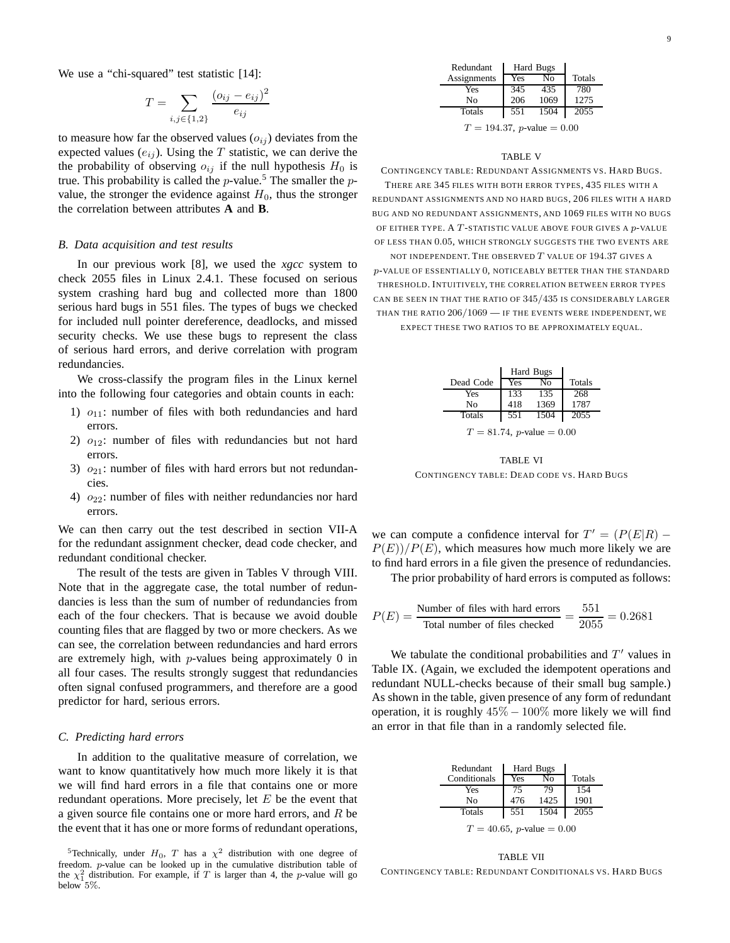We use a "chi-squared" test statistic [14]:

$$
T = \sum_{i,j \in \{1,2\}} \frac{(o_{ij} - e_{ij})^2}{e_{ij}}
$$

to measure how far the observed values  $(o_{ij})$  deviates from the expected values  $(e_{ij})$ . Using the T statistic, we can derive the the probability of observing  $o_{ij}$  if the null hypothesis  $H_0$  is true. This probability is called the  $p$ -value.<sup>5</sup> The smaller the  $p$ value, the stronger the evidence against  $H_0$ , thus the stronger the correlation between attributes **A** and **B**.

#### *B. Data acquisition and test results*

In our previous work [8], we used the *xgcc* system to check 2055 files in Linux 2.4.1. These focused on serious system crashing hard bug and collected more than 1800 serious hard bugs in 551 files. The types of bugs we checked for included null pointer dereference, deadlocks, and missed security checks. We use these bugs to represent the class of serious hard errors, and derive correlation with program redundancies.

We cross-classify the program files in the Linux kernel into the following four categories and obtain counts in each:

- 1)  $o_{11}$ : number of files with both redundancies and hard errors.
- 2)  $q_{12}$ : number of files with redundancies but not hard errors.
- 3)  $o_{21}$ : number of files with hard errors but not redundancies.
- 4)  $o_{22}$ : number of files with neither redundancies nor hard errors.

We can then carry out the test described in section VII-A for the redundant assignment checker, dead code checker, and redundant conditional checker.

The result of the tests are given in Tables V through VIII. Note that in the aggregate case, the total number of redundancies is less than the sum of number of redundancies from each of the four checkers. That is because we avoid double counting files that are flagged by two or more checkers. As we can see, the correlation between redundancies and hard errors are extremely high, with p-values being approximately 0 in all four cases. The results strongly suggest that redundancies often signal confused programmers, and therefore are a good predictor for hard, serious errors.

## *C. Predicting hard errors*

In addition to the qualitative measure of correlation, we want to know quantitatively how much more likely it is that we will find hard errors in a file that contains one or more redundant operations. More precisely, let  $E$  be the event that a given source file contains one or more hard errors, and  $R$  be the event that it has one or more forms of redundant operations,

| Redundant   | Hard Bugs |      |        |
|-------------|-----------|------|--------|
| Assignments | Yes       | Nο   | Totals |
| Yes         | 345       | 435  | 780    |
| No          | 206       | 1069 | 1275   |
| Totals      | 551       | 1504 | 2055   |

 $T = 194.37$ , *p*-value = 0.00

#### TABLE V

CONTINGENCY TABLE: REDUNDANT ASSIGNMENTS VS. HARD BUGS. THERE ARE 345 FILES WITH BOTH ERROR TYPES, 435 FILES WITH A REDUNDANT ASSIGNMENTS AND NO HARD BUGS, 206 FILES WITH A HARD BUG AND NO REDUNDANT ASSIGNMENTS, AND 1069 FILES WITH NO BUGS OF EITHER TYPE. A  $T$ -STATISTIC VALUE ABOVE FOUR GIVES A  $p$ -VALUE OF LESS THAN 0.05, WHICH STRONGLY SUGGESTS THE TWO EVENTS ARE

NOT INDEPENDENT. THE OBSERVED  $T$  value of 194.37 gives a p-VALUE OF ESSENTIALLY 0, NOTICEABLY BETTER THAN THE STANDARD THRESHOLD. INTUITIVELY, THE CORRELATION BETWEEN ERROR TYPES CAN BE SEEN IN THAT THE RATIO OF 345/435 IS CONSIDERABLY LARGER THAN THE RATIO 206/1069 — IF THE EVENTS WERE INDEPENDENT, WE EXPECT THESE TWO RATIOS TO BE APPROXIMATELY EQUAL.

> Hard Bugs Dead Code Yes No Totals<br>Yes 133 135 268 Yes 133 135 268 No 418 1369 1787 Totals 551 1504 2055

 $T = 81.74$ , *p*-value = 0.00

TABLE VI CONTINGENCY TABLE: DEAD CODE VS. HARD BUGS

we can compute a confidence interval for  $T' = (P(E|R) P(E)/P(E)$ , which measures how much more likely we are to find hard errors in a file given the presence of redundancies.

The prior probability of hard errors is computed as follows:

$$
P(E) = \frac{\text{Number of files with hard errors}}{\text{Total number of files checked}} = \frac{551}{2055} = 0.2681
$$

We tabulate the conditional probabilities and  $T'$  values in Table IX. (Again, we excluded the idempotent operations and redundant NULL-checks because of their small bug sample.) As shown in the table, given presence of any form of redundant operation, it is roughly  $45\% - 100\%$  more likely we will find an error in that file than in a randomly selected file.

| Redundant                            | Hard Bugs |      |        |  |
|--------------------------------------|-----------|------|--------|--|
| Conditionals                         | Yes       | No   | Totals |  |
| Yes                                  | 75        | 79   | 154    |  |
| No                                   | 476       | 1425 | 1901   |  |
| Totals                               | 551       | 1504 | 2055   |  |
| $T = 40.65$ , <i>p</i> -value = 0.00 |           |      |        |  |

TABLE VII CONTINGENCY TABLE: REDUNDANT CONDITIONALS VS. HARD BUGS

<sup>&</sup>lt;sup>5</sup>Technically, under  $H_0$ , T has a  $\chi^2$  distribution with one degree of freedom. p-value can be looked up in the cumulative distribution table of the  $\chi^2$  distribution. For example, if T is larger than 4, the p-value will go below 5%.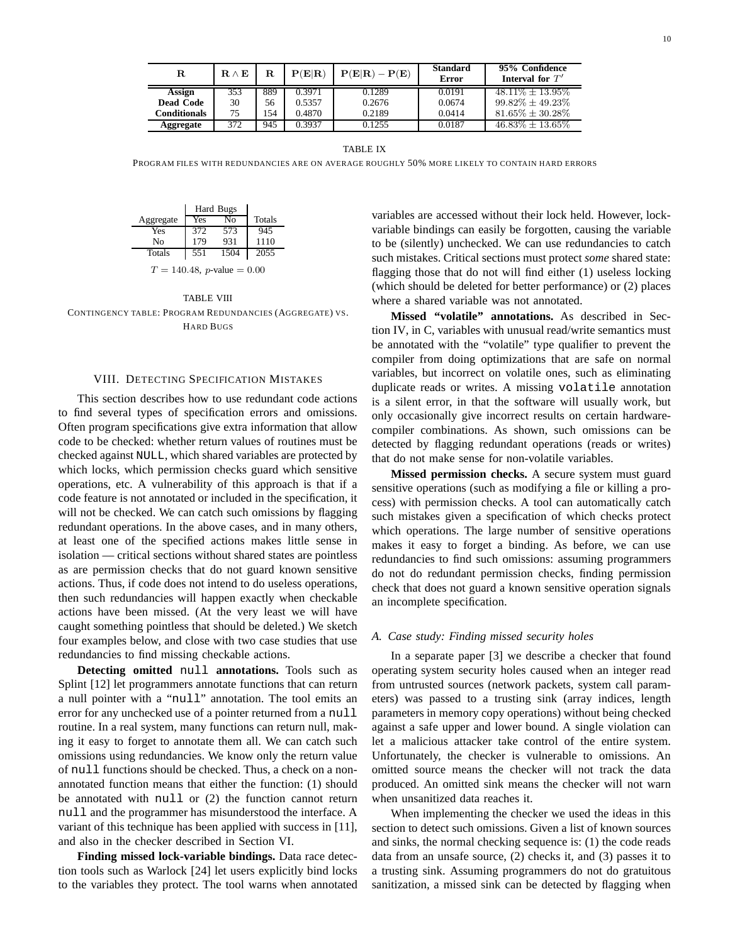| R                | $\mathbf{R} \wedge \mathbf{E}$ |     | P(E R) | $P(E R) - P(E)$ | <b>Standard</b><br>Error | 95% Confidence<br>Interval for $T'$ |
|------------------|--------------------------------|-----|--------|-----------------|--------------------------|-------------------------------------|
| Assign           | 353                            | 889 | 0.3971 | 0.1289          | 0.0191                   | $48.11\% + 13.95\%$                 |
| Dead Code        | 30                             | 56  | 0.5357 | 0.2676          | 0.0674                   | $99.82\% \pm 49.23\%$               |
| Conditionals     |                                | 154 | 0.4870 | 0.2189          | 0.0414                   | $81.65\% \pm 30.28\%$               |
| <b>Aggregate</b> | 372                            | 945 | 0.3937 | 0.1255          | 0.0187                   | $46.83\% \pm 13.65\%$               |

TABLE IX

PROGRAM FILES WITH REDUNDANCIES ARE ON AVERAGE ROUGHLY 50% MORE LIKELY TO CONTAIN HARD ERRORS

|                                 | Hard Bugs |               |        |
|---------------------------------|-----------|---------------|--------|
| Aggregate                       | Yes       | Nο            | Totals |
| Yes                             | 372       | 573           | 945    |
| No                              | 179       | 931           | 1110   |
| Totals                          | 551       | 1504          | 2055   |
| $\overline{ }$<br>$\rightarrow$ |           | $\sim$ $\sim$ |        |

 $T = 140.48$ , *p*-value = 0.00

TABLE VIII

CONTINGENCY TABLE: PROGRAM REDUNDANCIES (AGGREGATE) VS. HARD BUGS

## VIII. DETECTING SPECIFICATION MISTAKES

This section describes how to use redundant code actions to find several types of specification errors and omissions. Often program specifications give extra information that allow code to be checked: whether return values of routines must be checked against NULL, which shared variables are protected by which locks, which permission checks guard which sensitive operations, etc. A vulnerability of this approach is that if a code feature is not annotated or included in the specification, it will not be checked. We can catch such omissions by flagging redundant operations. In the above cases, and in many others, at least one of the specified actions makes little sense in isolation — critical sections without shared states are pointless as are permission checks that do not guard known sensitive actions. Thus, if code does not intend to do useless operations, then such redundancies will happen exactly when checkable actions have been missed. (At the very least we will have caught something pointless that should be deleted.) We sketch four examples below, and close with two case studies that use redundancies to find missing checkable actions.

**Detecting omitted** null **annotations.** Tools such as Splint [12] let programmers annotate functions that can return a null pointer with a "null" annotation. The tool emits an error for any unchecked use of a pointer returned from a null routine. In a real system, many functions can return null, making it easy to forget to annotate them all. We can catch such omissions using redundancies. We know only the return value of null functions should be checked. Thus, a check on a nonannotated function means that either the function: (1) should be annotated with null or (2) the function cannot return null and the programmer has misunderstood the interface. A variant of this technique has been applied with success in [11], and also in the checker described in Section VI.

**Finding missed lock-variable bindings.** Data race detection tools such as Warlock [24] let users explicitly bind locks to the variables they protect. The tool warns when annotated

variables are accessed without their lock held. However, lockvariable bindings can easily be forgotten, causing the variable to be (silently) unchecked. We can use redundancies to catch such mistakes. Critical sections must protect *some* shared state: flagging those that do not will find either (1) useless locking (which should be deleted for better performance) or (2) places where a shared variable was not annotated.

**Missed "volatile" annotations.** As described in Section IV, in C, variables with unusual read/write semantics must be annotated with the "volatile" type qualifier to prevent the compiler from doing optimizations that are safe on normal variables, but incorrect on volatile ones, such as eliminating duplicate reads or writes. A missing volatile annotation is a silent error, in that the software will usually work, but only occasionally give incorrect results on certain hardwarecompiler combinations. As shown, such omissions can be detected by flagging redundant operations (reads or writes) that do not make sense for non-volatile variables.

**Missed permission checks.** A secure system must guard sensitive operations (such as modifying a file or killing a process) with permission checks. A tool can automatically catch such mistakes given a specification of which checks protect which operations. The large number of sensitive operations makes it easy to forget a binding. As before, we can use redundancies to find such omissions: assuming programmers do not do redundant permission checks, finding permission check that does not guard a known sensitive operation signals an incomplete specification.

#### *A. Case study: Finding missed security holes*

In a separate paper [3] we describe a checker that found operating system security holes caused when an integer read from untrusted sources (network packets, system call parameters) was passed to a trusting sink (array indices, length parameters in memory copy operations) without being checked against a safe upper and lower bound. A single violation can let a malicious attacker take control of the entire system. Unfortunately, the checker is vulnerable to omissions. An omitted source means the checker will not track the data produced. An omitted sink means the checker will not warn when unsanitized data reaches it.

When implementing the checker we used the ideas in this section to detect such omissions. Given a list of known sources and sinks, the normal checking sequence is: (1) the code reads data from an unsafe source, (2) checks it, and (3) passes it to a trusting sink. Assuming programmers do not do gratuitous sanitization, a missed sink can be detected by flagging when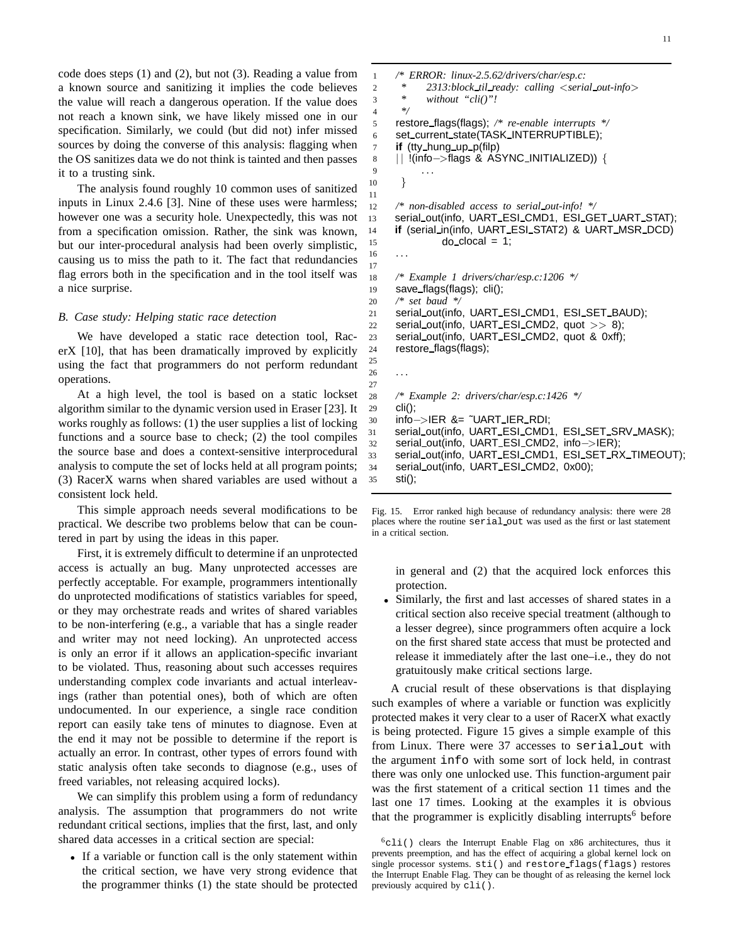code does steps (1) and (2), but not (3). Reading a value from a known source and sanitizing it implies the code believes the value will reach a dangerous operation. If the value does not reach a known sink, we have likely missed one in our specification. Similarly, we could (but did not) infer missed sources by doing the converse of this analysis: flagging when the OS sanitizes data we do not think is tainted and then passes it to a trusting sink.

The analysis found roughly 10 common uses of sanitized inputs in Linux 2.4.6 [3]. Nine of these uses were harmless; however one was a security hole. Unexpectedly, this was not from a specification omission. Rather, the sink was known, but our inter-procedural analysis had been overly simplistic, causing us to miss the path to it. The fact that redundancies flag errors both in the specification and in the tool itself was a nice surprise.

## *B. Case study: Helping static race detection*

We have developed a static race detection tool, RacerX [10], that has been dramatically improved by explicitly using the fact that programmers do not perform redundant operations.

At a high level, the tool is based on a static lockset algorithm similar to the dynamic version used in Eraser [23]. It works roughly as follows: (1) the user supplies a list of locking functions and a source base to check; (2) the tool compiles the source base and does a context-sensitive interprocedural analysis to compute the set of locks held at all program points; (3) RacerX warns when shared variables are used without a consistent lock held.

This simple approach needs several modifications to be practical. We describe two problems below that can be countered in part by using the ideas in this paper.

First, it is extremely difficult to determine if an unprotected access is actually an bug. Many unprotected accesses are perfectly acceptable. For example, programmers intentionally do unprotected modifications of statistics variables for speed, or they may orchestrate reads and writes of shared variables to be non-interfering (e.g., a variable that has a single reader and writer may not need locking). An unprotected access is only an error if it allows an application-specific invariant to be violated. Thus, reasoning about such accesses requires understanding complex code invariants and actual interleavings (rather than potential ones), both of which are often undocumented. In our experience, a single race condition report can easily take tens of minutes to diagnose. Even at the end it may not be possible to determine if the report is actually an error. In contrast, other types of errors found with static analysis often take seconds to diagnose (e.g., uses of freed variables, not releasing acquired locks).

We can simplify this problem using a form of redundancy analysis. The assumption that programmers do not write redundant critical sections, implies that the first, last, and only shared data accesses in a critical section are special:

• If a variable or function call is the only statement within the critical section, we have very strong evidence that the programmer thinks (1) the state should be protected

```
1 /* ERROR: linux-2.5.62/drivers/char/esp.c:
2 * 2313:block til ready: calling <serial out-info>
3 * without "cli()"!
4 */
5 restore flags(flags); /* re-enable interrupts */
6 set current state(TASK INTERRUPTIBLE);
7 if (tty_hung_up_p(filp)
8 | | !(info−>flags & ASYNC INITIALIZED)) {
 9 . . .
10 }
12 /* non-disabled access to serial out-info! */
13 serial_out(info, UART_ESI_CMD1, ESI_GET_UART_STAT);
14 if (serial_in(info, UART_ESI_STAT2) & UART_MSR_DCD)
15 do clocal = 1;
16 \quad \ldots18 /* Example 1 drivers/char/esp.c:1206 */
19 save flags(flags); cli();
20 /* set baud */
21 serial_out(info, UART_ESI_CMD1, ESI_SET_BAUD);
22 serial_out(info, UART_ESI_CMD2, quot >> 8);
23 serial out(info, UART ESI CMD2, quot & 0xff);
24 restore flags(flags);
28 /* Example 2: drivers/char/esp.c:1426 */
29 cli();
30 info−>IER &= ˜UART IER RDI;
31 serial_out(info, UART_ESI_CMD1, ESI_SET_SRV_MASK);
32 serial out(info, UART ESI CMD2, info−>IER);
33 serial out(info, UART ESI CMD1, ESI SET RX TIMEOUT);
34 serial out(info, UART ESI CMD2, 0x00);
```
11

17

25 26 27

35 sti();

```
Fig. 15. Error ranked high because of redundancy analysis: there were 28
places where the routine serial out was used as the first or last statement
in a critical section.
```
in general and (2) that the acquired lock enforces this protection.

• Similarly, the first and last accesses of shared states in a critical section also receive special treatment (although to a lesser degree), since programmers often acquire a lock on the first shared state access that must be protected and release it immediately after the last one–i.e., they do not gratuitously make critical sections large.

A crucial result of these observations is that displaying such examples of where a variable or function was explicitly protected makes it very clear to a user of RacerX what exactly is being protected. Figure 15 gives a simple example of this from Linux. There were 37 accesses to serial out with the argument info with some sort of lock held, in contrast there was only one unlocked use. This function-argument pair was the first statement of a critical section 11 times and the last one 17 times. Looking at the examples it is obvious that the programmer is explicitly disabling interrupts<sup>6</sup> before

 $6$ cli() clears the Interrupt Enable Flag on x86 architectures, thus it prevents preemption, and has the effect of acquiring a global kernel lock on single processor systems. sti() and restore flags(flags) restores the Interrupt Enable Flag. They can be thought of as releasing the kernel lock previously acquired by cli().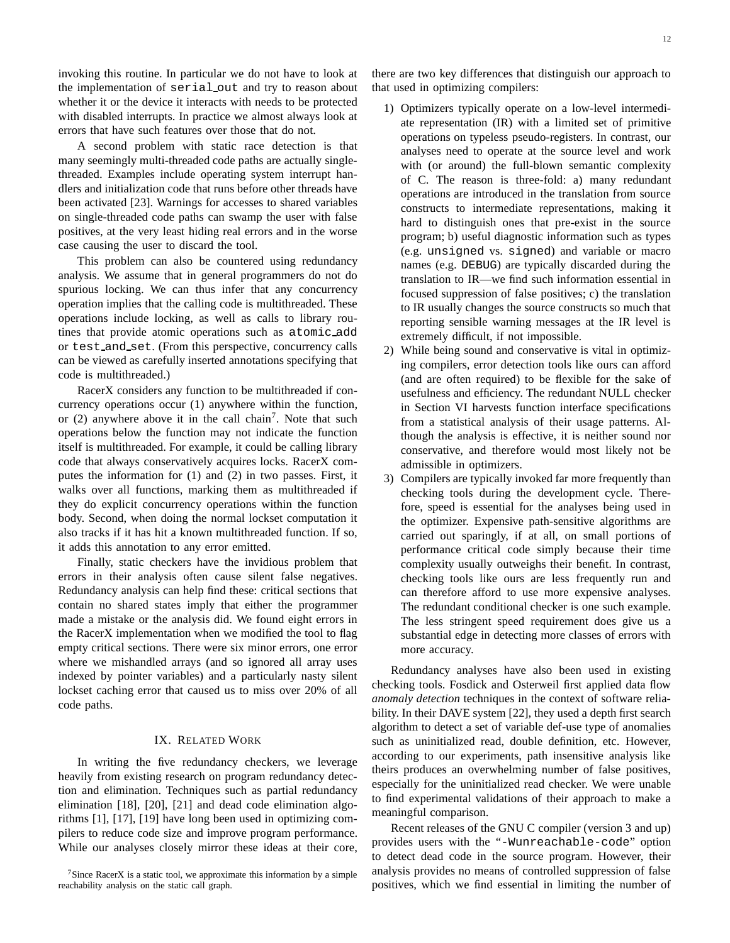invoking this routine. In particular we do not have to look at the implementation of serial out and try to reason about whether it or the device it interacts with needs to be protected with disabled interrupts. In practice we almost always look at errors that have such features over those that do not.

A second problem with static race detection is that many seemingly multi-threaded code paths are actually singlethreaded. Examples include operating system interrupt handlers and initialization code that runs before other threads have been activated [23]. Warnings for accesses to shared variables on single-threaded code paths can swamp the user with false positives, at the very least hiding real errors and in the worse case causing the user to discard the tool.

This problem can also be countered using redundancy analysis. We assume that in general programmers do not do spurious locking. We can thus infer that any concurrency operation implies that the calling code is multithreaded. These operations include locking, as well as calls to library routines that provide atomic operations such as atomic add or test and set. (From this perspective, concurrency calls can be viewed as carefully inserted annotations specifying that code is multithreaded.)

RacerX considers any function to be multithreaded if concurrency operations occur (1) anywhere within the function, or  $(2)$  anywhere above it in the call chain<sup>7</sup>. Note that such operations below the function may not indicate the function itself is multithreaded. For example, it could be calling library code that always conservatively acquires locks. RacerX computes the information for (1) and (2) in two passes. First, it walks over all functions, marking them as multithreaded if they do explicit concurrency operations within the function body. Second, when doing the normal lockset computation it also tracks if it has hit a known multithreaded function. If so, it adds this annotation to any error emitted.

Finally, static checkers have the invidious problem that errors in their analysis often cause silent false negatives. Redundancy analysis can help find these: critical sections that contain no shared states imply that either the programmer made a mistake or the analysis did. We found eight errors in the RacerX implementation when we modified the tool to flag empty critical sections. There were six minor errors, one error where we mishandled arrays (and so ignored all array uses indexed by pointer variables) and a particularly nasty silent lockset caching error that caused us to miss over 20% of all code paths.

# IX. RELATED WORK

In writing the five redundancy checkers, we leverage heavily from existing research on program redundancy detection and elimination. Techniques such as partial redundancy elimination [18], [20], [21] and dead code elimination algorithms [1], [17], [19] have long been used in optimizing compilers to reduce code size and improve program performance. While our analyses closely mirror these ideas at their core, there are two key differences that distinguish our approach to that used in optimizing compilers:

- 1) Optimizers typically operate on a low-level intermediate representation (IR) with a limited set of primitive operations on typeless pseudo-registers. In contrast, our analyses need to operate at the source level and work with (or around) the full-blown semantic complexity of C. The reason is three-fold: a) many redundant operations are introduced in the translation from source constructs to intermediate representations, making it hard to distinguish ones that pre-exist in the source program; b) useful diagnostic information such as types (e.g. unsigned vs. signed) and variable or macro names (e.g. DEBUG) are typically discarded during the translation to IR—we find such information essential in focused suppression of false positives; c) the translation to IR usually changes the source constructs so much that reporting sensible warning messages at the IR level is extremely difficult, if not impossible.
- 2) While being sound and conservative is vital in optimizing compilers, error detection tools like ours can afford (and are often required) to be flexible for the sake of usefulness and efficiency. The redundant NULL checker in Section VI harvests function interface specifications from a statistical analysis of their usage patterns. Although the analysis is effective, it is neither sound nor conservative, and therefore would most likely not be admissible in optimizers.
- 3) Compilers are typically invoked far more frequently than checking tools during the development cycle. Therefore, speed is essential for the analyses being used in the optimizer. Expensive path-sensitive algorithms are carried out sparingly, if at all, on small portions of performance critical code simply because their time complexity usually outweighs their benefit. In contrast, checking tools like ours are less frequently run and can therefore afford to use more expensive analyses. The redundant conditional checker is one such example. The less stringent speed requirement does give us a substantial edge in detecting more classes of errors with more accuracy.

Redundancy analyses have also been used in existing checking tools. Fosdick and Osterweil first applied data flow *anomaly detection* techniques in the context of software reliability. In their DAVE system [22], they used a depth first search algorithm to detect a set of variable def-use type of anomalies such as uninitialized read, double definition, etc. However, according to our experiments, path insensitive analysis like theirs produces an overwhelming number of false positives, especially for the uninitialized read checker. We were unable to find experimental validations of their approach to make a meaningful comparison.

Recent releases of the GNU C compiler (version 3 and up) provides users with the "-Wunreachable-code" option to detect dead code in the source program. However, their analysis provides no means of controlled suppression of false positives, which we find essential in limiting the number of

<sup>&</sup>lt;sup>7</sup>Since RacerX is a static tool, we approximate this information by a simple reachability analysis on the static call graph.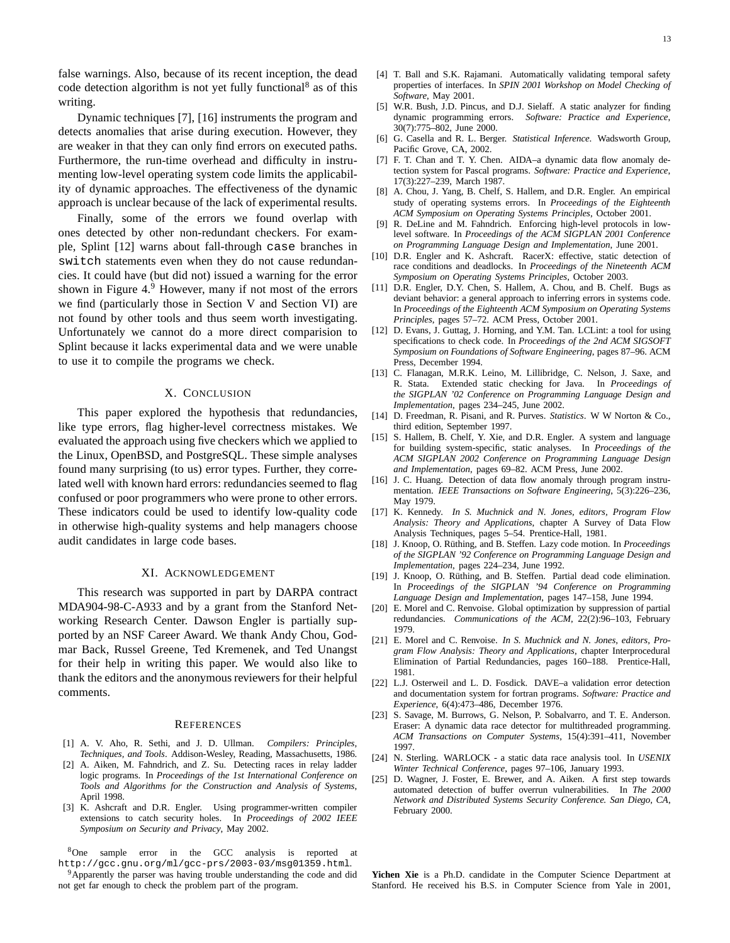false warnings. Also, because of its recent inception, the dead code detection algorithm is not yet fully functional<sup>8</sup> as of this writing.

Dynamic techniques [7], [16] instruments the program and detects anomalies that arise during execution. However, they are weaker in that they can only find errors on executed paths. Furthermore, the run-time overhead and difficulty in instrumenting low-level operating system code limits the applicability of dynamic approaches. The effectiveness of the dynamic approach is unclear because of the lack of experimental results.

Finally, some of the errors we found overlap with ones detected by other non-redundant checkers. For example, Splint [12] warns about fall-through case branches in switch statements even when they do not cause redundancies. It could have (but did not) issued a warning for the error shown in Figure  $4.9$  However, many if not most of the errors we find (particularly those in Section V and Section VI) are not found by other tools and thus seem worth investigating. Unfortunately we cannot do a more direct comparision to Splint because it lacks experimental data and we were unable to use it to compile the programs we check.

## X. CONCLUSION

This paper explored the hypothesis that redundancies, like type errors, flag higher-level correctness mistakes. We evaluated the approach using five checkers which we applied to the Linux, OpenBSD, and PostgreSQL. These simple analyses found many surprising (to us) error types. Further, they correlated well with known hard errors: redundancies seemed to flag confused or poor programmers who were prone to other errors. These indicators could be used to identify low-quality code in otherwise high-quality systems and help managers choose audit candidates in large code bases.

## XI. ACKNOWLEDGEMENT

This research was supported in part by DARPA contract MDA904-98-C-A933 and by a grant from the Stanford Networking Research Center. Dawson Engler is partially supported by an NSF Career Award. We thank Andy Chou, Godmar Back, Russel Greene, Ted Kremenek, and Ted Unangst for their help in writing this paper. We would also like to thank the editors and the anonymous reviewers for their helpful comments.

#### **REFERENCES**

- [1] A. V. Aho, R. Sethi, and J. D. Ullman. *Compilers: Principles, Techniques, and Tools*. Addison-Wesley, Reading, Massachusetts, 1986.
- [2] A. Aiken, M. Fahndrich, and Z. Su. Detecting races in relay ladder logic programs. In *Proceedings of the 1st International Conference on Tools and Algorithms for the Construction and Analysis of Systems*, April 1998.
- [3] K. Ashcraft and D.R. Engler. Using programmer-written compiler extensions to catch security holes. In *Proceedings of 2002 IEEE Symposium on Security and Privacy*, May 2002.

<sup>8</sup>One sample error in the GCC analysis is reported at http://gcc.gnu.org/ml/gcc-prs/2003-03/msg01359.html.

<sup>9</sup>Apparently the parser was having trouble understanding the code and did not get far enough to check the problem part of the program.

- [4] T. Ball and S.K. Rajamani. Automatically validating temporal safety properties of interfaces. In *SPIN 2001 Workshop on Model Checking of Software*, May 2001.
- [5] W.R. Bush, J.D. Pincus, and D.J. Sielaff. A static analyzer for finding dynamic programming errors. *Software: Practice and Experience*, 30(7):775–802, June 2000.
- [6] G. Casella and R. L. Berger. *Statistical Inference*. Wadsworth Group, Pacific Grove, CA, 2002.
- [7] F. T. Chan and T. Y. Chen. AIDA–a dynamic data flow anomaly detection system for Pascal programs. *Software: Practice and Experience*, 17(3):227–239, March 1987.
- [8] A. Chou, J. Yang, B. Chelf, S. Hallem, and D.R. Engler. An empirical study of operating systems errors. In *Proceedings of the Eighteenth ACM Symposium on Operating Systems Principles*, October 2001.
- [9] R. DeLine and M. Fahndrich. Enforcing high-level protocols in lowlevel software. In *Proceedings of the ACM SIGPLAN 2001 Conference on Programming Language Design and Implementation*, June 2001.
- [10] D.R. Engler and K. Ashcraft. RacerX: effective, static detection of race conditions and deadlocks. In *Proceedings of the Nineteenth ACM Symposium on Operating Systems Principles*, October 2003.
- [11] D.R. Engler, D.Y. Chen, S. Hallem, A. Chou, and B. Chelf. Bugs as deviant behavior: a general approach to inferring errors in systems code. In *Proceedings of the Eighteenth ACM Symposium on Operating Systems Principles*, pages 57–72. ACM Press, October 2001.
- [12] D. Evans, J. Guttag, J. Horning, and Y.M. Tan. LCLint: a tool for using specifications to check code. In *Proceedings of the 2nd ACM SIGSOFT Symposium on Foundations of Software Engineering*, pages 87–96. ACM Press, December 1994.
- [13] C. Flanagan, M.R.K. Leino, M. Lillibridge, C. Nelson, J. Saxe, and R. Stata. Extended static checking for Java. In *Proceedings of the SIGPLAN '02 Conference on Programming Language Design and Implementation*, pages 234–245, June 2002.
- [14] D. Freedman, R. Pisani, and R. Purves. *Statistics*. W W Norton & Co., third edition, September 1997.
- [15] S. Hallem, B. Chelf, Y. Xie, and D.R. Engler. A system and language for building system-specific, static analyses. In *Proceedings of the ACM SIGPLAN 2002 Conference on Programming Language Design and Implementation*, pages 69–82. ACM Press, June 2002.
- [16] J. C. Huang. Detection of data flow anomaly through program instrumentation. *IEEE Transactions on Software Engineering*, 5(3):226–236, May 1979.
- [17] K. Kennedy. *In S. Muchnick and N. Jones, editors, Program Flow Analysis: Theory and Applications*, chapter A Survey of Data Flow Analysis Techniques, pages 5–54. Prentice-Hall, 1981.
- [18] J. Knoop, O. Rüthing, and B. Steffen. Lazy code motion. In *Proceedings of the SIGPLAN '92 Conference on Programming Language Design and Implementation*, pages 224–234, June 1992.
- [19] J. Knoop, O. Rüthing, and B. Steffen. Partial dead code elimination. In *Proceedings of the SIGPLAN '94 Conference on Programming Language Design and Implementation*, pages 147–158, June 1994.
- [20] E. Morel and C. Renvoise. Global optimization by suppression of partial redundancies. *Communications of the ACM*, 22(2):96–103, February 1979.
- [21] E. Morel and C. Renvoise. *In S. Muchnick and N. Jones, editors, Program Flow Analysis: Theory and Applications*, chapter Interprocedural Elimination of Partial Redundancies, pages 160–188. Prentice-Hall, 1981.
- [22] L.J. Osterweil and L. D. Fosdick. DAVE–a validation error detection and documentation system for fortran programs. *Software: Practice and Experience*, 6(4):473–486, December 1976.
- [23] S. Savage, M. Burrows, G. Nelson, P. Sobalvarro, and T. E. Anderson. Eraser: A dynamic data race detector for multithreaded programming. *ACM Transactions on Computer Systems*, 15(4):391–411, November 1997.
- [24] N. Sterling. WARLOCK a static data race analysis tool. In *USENIX Winter Technical Conference*, pages 97–106, January 1993.
- D. Wagner, J. Foster, E. Brewer, and A. Aiken. A first step towards automated detection of buffer overrun vulnerabilities. In *The 2000 Network and Distributed Systems Security Conference. San Diego, CA*, February 2000.

**Yichen Xie** is a Ph.D. candidate in the Computer Science Department at Stanford. He received his B.S. in Computer Science from Yale in 2001,